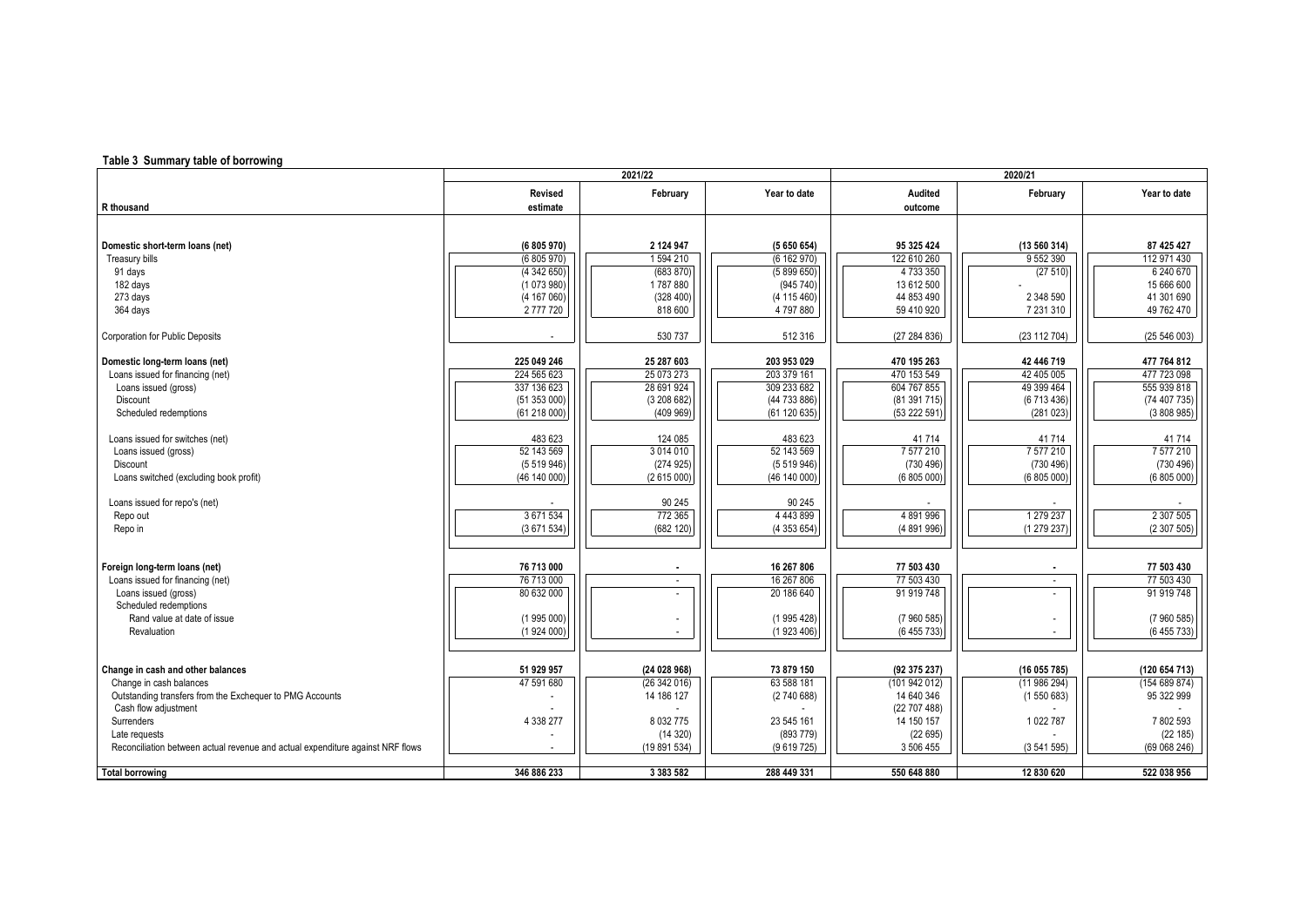## **Table 3 Summary table of borrowing**

|                                                                                | 2021/22      |                          |              | 2020/21       |                          |               |  |
|--------------------------------------------------------------------------------|--------------|--------------------------|--------------|---------------|--------------------------|---------------|--|
|                                                                                | Revised      | February                 | Year to date | Audited       | February                 | Year to date  |  |
| R thousand                                                                     | estimate     |                          |              | outcome       |                          |               |  |
|                                                                                |              |                          |              |               |                          |               |  |
|                                                                                |              |                          |              |               |                          |               |  |
| Domestic short-term loans (net)                                                | (6 805 970)  | 2 124 947                | (5650654)    | 95 325 424    | (13 560 314)             | 87 425 427    |  |
| Treasury bills                                                                 | (6805970)    | 1594 210                 | (6162970)    | 122 610 260   | 9 552 390                | 112 971 430   |  |
| 91 days                                                                        | (4342650)    | (683 870)                | (5899650)    | 4 733 350     | (27510)                  | 6 240 670     |  |
| 182 days                                                                       | (1073980)    | 1787880                  | (945740)     | 13 612 500    |                          | 15 666 600    |  |
| 273 days                                                                       | (4 167 060)  | (328 400)                | (4 115 460)  | 44 853 490    | 2 348 590                | 41 301 690    |  |
| 364 days                                                                       | 2777720      | 818 600                  | 4797880      | 59 410 920    | 7 231 310                | 49 762 470    |  |
|                                                                                |              |                          |              |               |                          |               |  |
| <b>Corporation for Public Deposits</b>                                         |              | 530 737                  | 512 316      | (27 284 836)  | (23 112 704)             | (25 546 003)  |  |
|                                                                                |              |                          |              |               |                          |               |  |
| Domestic long-term loans (net)                                                 | 225 049 246  | 25 287 603               | 203 953 029  | 470 195 263   | 42 446 719               | 477 764 812   |  |
| Loans issued for financing (net)                                               | 224 565 623  | 25 073 273               | 203 379 161  | 470 153 549   | 42 405 005               | 477 723 098   |  |
| Loans issued (gross)                                                           | 337 136 623  | 28 691 924               | 309 233 682  | 604 767 855   | 49 399 464               | 555 939 818   |  |
| Discount                                                                       | (51353000)   | (3208682)                | (44 733 886) | (81391715)    | (6713436)                | (74 407 735)  |  |
| Scheduled redemptions                                                          | (61218000)   | (409969)                 | (61120635)   | (53 222 591)  | (281023)                 | (3808985)     |  |
|                                                                                |              |                          |              |               |                          |               |  |
| Loans issued for switches (net)                                                | 483 623      | 124 085                  | 483 623      | 41714         | 41714                    | 41714         |  |
| Loans issued (gross)                                                           | 52 143 569   | 3 0 14 0 10              | 52 143 569   | 7 577 210     | 7577210                  | 7 577 210     |  |
| Discount                                                                       | (5519946)    | (274925)                 | (5519946)    | (730 496)     | (730 496)                | (730 496)     |  |
| Loans switched (excluding book profit)                                         | (46 140 000) | (2615000)                | (46 140 000) | (6 805 000)   | (6805000)                | (6805000)     |  |
|                                                                                |              |                          |              |               |                          |               |  |
| Loans issued for repo's (net)                                                  |              | 90 245                   | 90 245       |               |                          |               |  |
| Repo out                                                                       | 3 671 534    | 772 365                  | 4443899      | 4891996       | 1 279 237                | 2 307 505     |  |
| Repo in                                                                        | (3671534)    | (682 120)                | (4353654)    | (4 891 996)   | (1279237)                | (2307505)     |  |
|                                                                                |              |                          |              |               |                          |               |  |
|                                                                                |              |                          |              |               |                          |               |  |
| Foreign long-term loans (net)                                                  | 76 713 000   |                          | 16 267 806   | 77 503 430    |                          | 77 503 430    |  |
| Loans issued for financing (net)                                               | 76 713 000   | $\overline{\phantom{a}}$ | 16 267 806   | 77 503 430    | $\sim$                   | 77 503 430    |  |
| Loans issued (gross)                                                           | 80 632 000   |                          | 20 186 640   | 91 919 748    | $\overline{\phantom{a}}$ | 91 919 748    |  |
| Scheduled redemptions                                                          |              |                          |              |               |                          |               |  |
| Rand value at date of issue                                                    | (1995000)    |                          | (1995428)    | (7960585)     |                          | (7960585)     |  |
| Revaluation                                                                    | (1924000)    |                          | (1923406)    | (6 455 733)   |                          | (6455733)     |  |
|                                                                                |              |                          |              |               |                          |               |  |
|                                                                                |              |                          |              |               |                          |               |  |
| Change in cash and other balances                                              | 51 929 957   | (24028968)               | 73 879 150   | (92 375 237)  | (16055785)               | (120 654 713) |  |
| Change in cash balances                                                        | 47 591 680   | (26342016)               | 63 588 181   | (101 942 012) | (11986294)               | (154689874)   |  |
| Outstanding transfers from the Exchequer to PMG Accounts                       |              | 14 186 127               | (274068)     | 14 640 346    | (1550683)                | 95 322 999    |  |
| Cash flow adjustment                                                           |              |                          |              | (22707488)    |                          |               |  |
| Surrenders                                                                     | 4 338 277    | 8 0 3 2 7 7 5            | 23 545 161   | 14 150 157    | 1022787                  | 7 802 593     |  |
| Late requests                                                                  |              | (14320)                  | (893779)     | (22695)       |                          | (22 185)      |  |
| Reconciliation between actual revenue and actual expenditure against NRF flows |              | (19 891 534)             | (9619725)    | 3 506 455     | (3541595)                | (69068246)    |  |
| <b>Total borrowing</b>                                                         | 346 886 233  | 3 383 582                | 288 449 331  | 550 648 880   | 12 830 620               | 522 038 956   |  |
|                                                                                |              |                          |              |               |                          |               |  |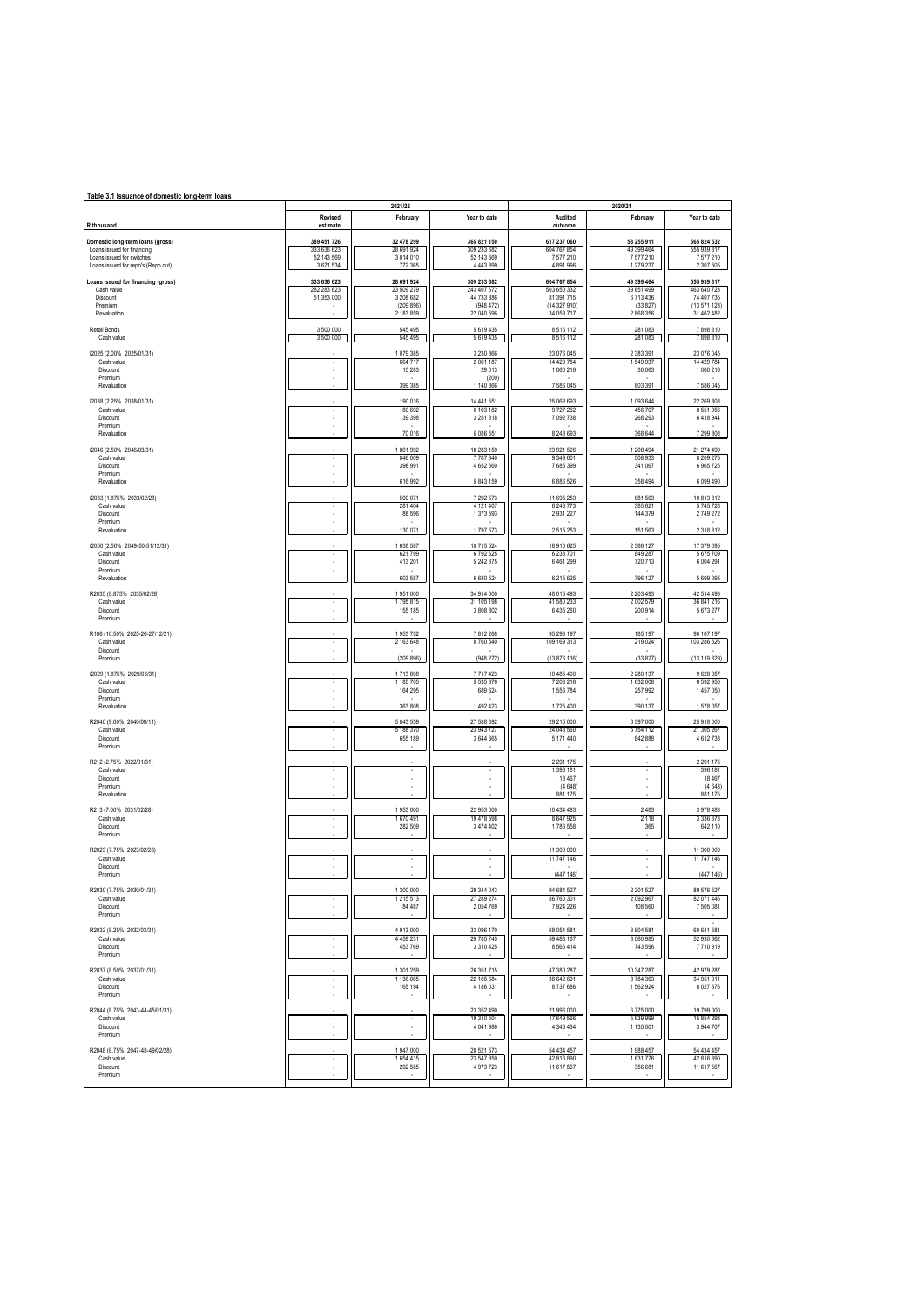| Table 3.1 Issuance of domestic long-term loans                  |                         |                          |                             |                            |                        |                            |  |  |
|-----------------------------------------------------------------|-------------------------|--------------------------|-----------------------------|----------------------------|------------------------|----------------------------|--|--|
|                                                                 |                         | 2021/22                  |                             |                            | 2020/21                |                            |  |  |
| R thousand                                                      | Revised<br>estimate     | February                 | Year to date                | Audited<br>outcome         | February               | Year to date               |  |  |
| Domestic long-term loans (gross)                                | 389 451 726             | 32 478 299               | 365 821 150                 | 617 237 060                | 58 255 911             | 565 824 532                |  |  |
| Loans issued for financing                                      | 333 636 623             | 28 691 924               | 309 233 682                 | 604 767 854                | 49 399 464             | 555 939 817                |  |  |
| Loans issued for switches<br>Loans issued for repo's (Repo out) | 52 143 569<br>3 671 534 | 3 0 14 0 10<br>772 365   | 52 143 569<br>4 4 4 3 8 9 9 | 7577210<br>4 891 996       | 7577210<br>1 279 237   | 7577210<br>2 307 505       |  |  |
| Loans issued for financing (gross)                              | 333 636 623             | 28 691 924               | 309 233 682                 | 604 767 854                | 49 399 464             | 555 939 817                |  |  |
| Cash value                                                      | 282 283 623             | 23 509 279               | 243 407 672                 | 503 650 332                | 39 851 499             | 463 640 723                |  |  |
| Discount<br>Premium                                             | 51 353 000<br>٠         | 3 208 682<br>(209 896)   | 44 733 886<br>(948, 472)    | 81 391 715<br>(14 327 910) | 6713436<br>(33827)     | 74 407 735<br>(13 571 123) |  |  |
| Revaluation                                                     |                         | 2 183 859                | 22 040 596                  | 34 053 717                 | 2 868 356              | 31 462 482                 |  |  |
| Retail Bonds                                                    | 3 500 000               | 545 495                  | 5619435                     | 8516112                    | 281 083                | 7898310                    |  |  |
| Cash value                                                      | 3 500 000               | 545 495                  | 5619435                     | 8 5 1 6 1 1 2              | 281 083                | 7898310                    |  |  |
| 12025 (2.00% 2025/01/31)                                        |                         | 1079385                  | 3 230 366                   | 23 076 045                 | 2 383 391              | 23 076 045                 |  |  |
| Cash value                                                      |                         | 664 717                  | 2 061 187                   | 14 429 784                 | 1549937                | 14 429 784                 |  |  |
| Discount<br>Premium                                             |                         | 15 2 8 3                 | 29 013<br>(200)             | 1 060 216                  | 30 063                 | 1 060 216                  |  |  |
| Revaluation                                                     |                         | 399 385                  | 1 140 366                   | 7 586 045                  | 803 391                | 7 586 045                  |  |  |
| 12038 (2.25% 2038/01/31)                                        |                         | 190 016                  | 14 441 551                  | 25 063 693                 | 1093644                | 22 269 808                 |  |  |
| Cash value<br>Discount                                          | ٠                       | 80 602<br>39 3 98        | 6 103 182<br>3 2 5 1 8 1 8  | 9727262<br>7 092 738       | 456 707<br>268 293     | 8 551 056<br>6418944       |  |  |
| Premium                                                         |                         |                          |                             |                            |                        |                            |  |  |
| Revaluation                                                     |                         | 70 016                   | 5 086 551                   | 8 243 693                  | 368 644                | 7 299 808                  |  |  |
| 12046 (2.50% 2046/03/31)                                        |                         | 1861992                  | 18 283 159                  | 23 921 526                 | 1 208 494              | 21 274 490                 |  |  |
| Cash value<br>Discount                                          | ×.                      | 846 009<br>398 991       | 7787340<br>4652660          | 9 349 601<br>7 685 399     | 508 933<br>341 067     | 8 209 275<br>6 9 65 7 25   |  |  |
| Premium                                                         | ä,                      |                          |                             |                            |                        |                            |  |  |
| Revaluation                                                     |                         | 616 992                  | 5 843 159                   | 6 886 526                  | 358 494                | 6 099 490                  |  |  |
| 12033 (1.875% 2033/02/28)                                       |                         | 500 071                  | 7 292 573                   | 11 695 253                 | 681 563                | 10 813 812                 |  |  |
| Cash value<br>Discount                                          | ×                       | 281 404<br>88 596        | 4 121 407<br>1 373 593      | 6 248 773<br>2931227       | 385 621<br>144 379     | 5745728<br>2749272         |  |  |
| Premium                                                         |                         |                          |                             |                            |                        |                            |  |  |
| Revaluation                                                     |                         | 130 071                  | 1797573                     | 2515253                    | 151 563                | 2 3 1 8 8 1 2              |  |  |
| 12050 (2.50% 2049-50-51/12/31)                                  |                         | 1638 587<br>621 799      | 18 715 524                  | 18 910 625                 | 2 3 6 1 2 7            | 17 379 095                 |  |  |
| Cash value<br>Discount                                          | ä,                      | 413 201                  | 6792625<br>5 242 375        | 6 233 701<br>6461299       | 849 287<br>720 713     | 5675709<br>6 004 291       |  |  |
| Premium<br>Revaluation                                          |                         |                          |                             |                            |                        |                            |  |  |
|                                                                 |                         | 603 587                  | 6 680 524                   | 6 215 6 25                 | 796 127                | 5 699 095                  |  |  |
| R2035 (8.875% 2035/02/28)                                       |                         | 1951000<br>1795815       | 34 914 000                  | 48 015 493                 | 2 203 493              | 42 514 493                 |  |  |
| Cash value<br>Discount                                          |                         | 155 185                  | 31 105 198<br>3 808 802     | 41 580 233<br>6 435 260    | 2 002 579<br>200 914   | 36 841 216<br>5 673 277    |  |  |
| Premium                                                         |                         |                          |                             |                            |                        |                            |  |  |
| R186 (10.50% 2025-26-27/12/21)                                  |                         | 1953752                  | 7812268                     | 95 293 197                 | 185 197                | 90 167 197                 |  |  |
| Cash value<br>Discount                                          | ä,                      | 2 163 648                | 8760 540                    | 109 169 313                | 219 024                | 103 286 526                |  |  |
| Premium                                                         |                         | (209 896)                | (948 272)                   | (13 876 116)               | (33827)                | (13 119 329)               |  |  |
| 12029 (1.875% 2029/03/31)                                       |                         | 1713808                  | 7717423                     | 10 485 400                 | 2 2 8 0 1 3 7          | 9 628 057                  |  |  |
| Cash value                                                      |                         | 1 185 705                | 5 535 376                   | 7 203 216                  | 1 632 008              | 6 592 950                  |  |  |
| Discount<br>Premium                                             | ٠                       | 164 295                  | 689 624                     | 1556784                    | 257 992                | 1457050                    |  |  |
| Revaluation                                                     |                         | 363 808                  | 1492423                     | 1725 400                   | 390 137                | 1578 057                   |  |  |
| R2040 (9.00% 2040/09/11)                                        |                         | 5 843 559                | 27 588 392                  | 29 215 000                 | 6 597 000              | 25 918 000                 |  |  |
| Cash value                                                      |                         | 5 188 370                | 23 943 727                  | 24 043 560                 | 5754 112               | 21 305 267                 |  |  |
| Discount<br>Premium                                             |                         | 655 189                  | 3 644 665                   | 5 171 440                  | 842 888                | 4612733                    |  |  |
|                                                                 |                         |                          |                             |                            |                        |                            |  |  |
| R212 (2.75% 2022/01/31)<br>Cash value                           |                         |                          |                             | 2 2 9 1 1 7 5<br>1 396 181 |                        | 2 2 9 1 1 7 5<br>1 396 181 |  |  |
| Discount                                                        | ٠                       | $\overline{\phantom{a}}$ |                             | 18 4 67                    |                        | 18 467                     |  |  |
| Premium<br>Revaluation                                          |                         |                          |                             | (4648)<br>881 175          |                        | (4648)<br>881 175          |  |  |
| R213 (7.00% 2031/02/28)                                         |                         | 1953000                  | 22 953 000                  | 10 434 483                 | 2483                   | 3 978 483                  |  |  |
| Cash value                                                      |                         | 1670491                  | 19 478 598                  | 8 647 925                  | 2 1 1 8                | 3 3 3 6 3 7 3              |  |  |
| Discount<br>Premium                                             |                         | 282 509                  | 3 474 402                   | 1786 558                   | 365                    | 642 110                    |  |  |
|                                                                 |                         |                          |                             |                            |                        |                            |  |  |
| R2023 (7.75% 2023/02/28)<br>Cash value                          | ٠                       | $\sim$                   | $\sim$                      | 11 300 000<br>11 747 146   | ÷.                     | 11 300 000<br>11 747 146   |  |  |
| Discount                                                        |                         |                          |                             |                            |                        |                            |  |  |
| Premium                                                         |                         |                          |                             | (447 146)                  |                        | (447 146)                  |  |  |
| R2030 (7.75% 2030/01/31)                                        |                         | 1 300 000                | 29 344 043                  | 94 684 527                 | 2 201 527              | 89 576 527                 |  |  |
| Cash value<br>Discount                                          |                         | 1 215 513<br>84 487      | 27 289 274<br>2054769       | 86 760 301<br>7924226      | 2 092 967<br>108 560   | 82 071 446<br>7 505 081    |  |  |
| Premium                                                         |                         |                          |                             |                            |                        |                            |  |  |
| R2032 (8.25% 2032/03/31)                                        |                         | 4 913 000                | 33 096 170                  | 68 054 581                 | 8 8 0 4 5 8 1          | 60 641 581                 |  |  |
| Cash value                                                      | ٠                       | 4459231                  | 29 785 745                  | 59 488 167                 | 8 0 6 9 9 8 5          | 52 930 662                 |  |  |
| Discount<br>Premium                                             |                         | 453 769                  | 3 3 1 0 4 2 5               | 8 5 6 6 4 1 4              | 743 596                | 7710919                    |  |  |
|                                                                 |                         |                          |                             |                            |                        |                            |  |  |
| R2037 (8.50% 2037/01/31)<br>Cash value                          | ٠                       | 1 301 259<br>1 136 065   | 26 351 715<br>22 165 684    | 47 380 287<br>38 642 601   | 10 347 287<br>8784363  | 42 979 287<br>34 951 911   |  |  |
| Discount                                                        |                         | 165 194                  | 4 186 031                   | 8737686                    | 1562924                | 8 0 27 376                 |  |  |
| Premium                                                         |                         |                          |                             |                            |                        |                            |  |  |
| R2044 (8.75% 2043-44-45/01/31)                                  |                         |                          | 23 352 490                  | 21 996 000                 | 6775000                | 19 799 000                 |  |  |
| Cash value<br>Discount                                          |                         |                          | 19 310 504<br>4 041 986     | 17 649 566<br>4 346 434    | 5 639 999<br>1 135 001 | 15 854 293<br>3 944 707    |  |  |
| Premium                                                         |                         |                          |                             |                            |                        |                            |  |  |
| R2048 (8.75% 2047-48-49/02/28)                                  |                         | 1 947 000                | 28 521 573                  | 54 434 457                 | 1988 457               | 54 434 457                 |  |  |
| Cash value<br>Discount                                          |                         | 1654 415<br>292 585      | 23 547 850<br>4 973 723     | 42 816 890<br>11 617 567   | 1631776<br>356 681     | 42 816 890<br>11 617 567   |  |  |
| Premium                                                         |                         |                          |                             |                            |                        |                            |  |  |
|                                                                 |                         |                          |                             |                            |                        |                            |  |  |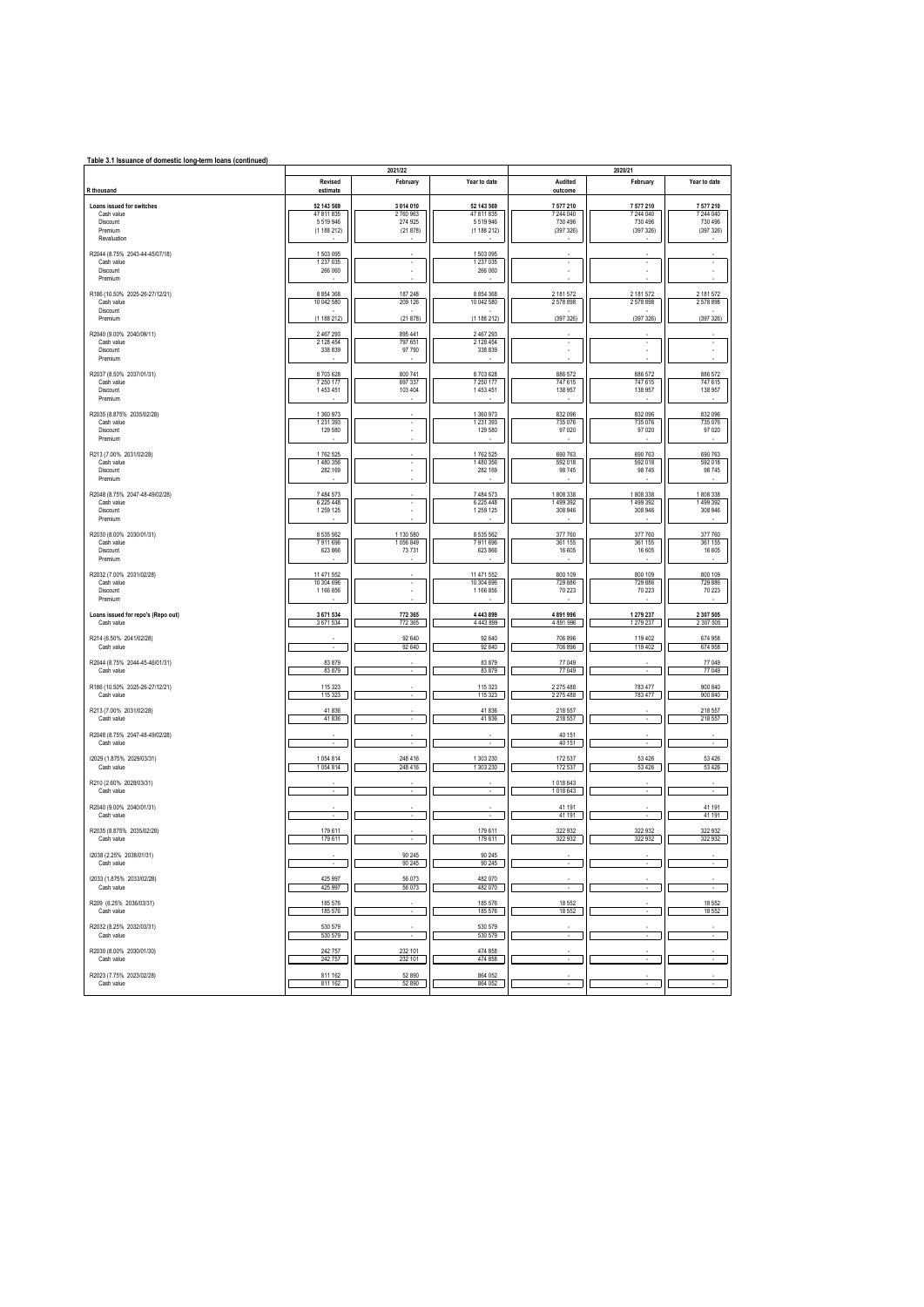| Table 3.1 Issuance of domestic long-term loans (continued)    |                                    |                               |                                      |                                   |                                   |                                   |  |  |  |
|---------------------------------------------------------------|------------------------------------|-------------------------------|--------------------------------------|-----------------------------------|-----------------------------------|-----------------------------------|--|--|--|
| R thousand                                                    | Revised<br>estimate                | 2021/22<br>February           | Year to date                         | Audited<br>outcome                | 2020/21<br>February               | Year to date                      |  |  |  |
| Loans issued for switches                                     | 52 143 569                         | 3 014 010                     | 52 143 569                           | 7 577 210                         | 7 577 210                         | 7 577 210                         |  |  |  |
| Cash value<br>Discount<br>Premium<br>Revaluation              | 47 811 835<br>5519946<br>(1188212) | 2760963<br>274 925<br>(21878) | 47 811 835<br>5519946<br>(1 188 212) | 7 244 040<br>730 496<br>(397 326) | 7 244 040<br>730 496<br>(397 326) | 7 244 040<br>730 496<br>(397 326) |  |  |  |
| R2044 (8.75% 2043-44-45/07/18)                                | 1503095                            |                               | 1503095                              |                                   |                                   |                                   |  |  |  |
| Cash value<br>Discount<br>Premium                             | 1 237 0 35<br>266 060              | $\cdot$                       | 1 237 0 35<br>266 060                | $\cdot$<br>ä,                     | ٠                                 | $\overline{\phantom{a}}$          |  |  |  |
| R186 (10.50% 2025-26-27/12/21)                                | 8 8 5 4 3 6 8                      | 187 248                       | 8 8 5 4 3 6 8                        | 2 181 572                         | 2 181 572                         | 2 181 572                         |  |  |  |
| Cash value<br>Discount                                        | 10 042 580                         | 209 126                       | 10 042 580                           | 2578898                           | 2578898                           | 2578898                           |  |  |  |
| Premium                                                       | (1188212)                          | (21878)                       | (1188212)                            | (397 326)                         | (397 326)                         | (397 326)                         |  |  |  |
| R2040 (9.00% 2040/09/11)<br>Cash value<br>Discount<br>Premium | 2 467 293<br>2 128 454<br>338 839  | 895 441<br>797 651<br>97 790  | 2 467 293<br>2 128 454<br>338 839    | $\cdot$                           | ٠                                 | $\cdot$                           |  |  |  |
| R2037 (8.50% 2037/01/31)                                      | 8703628                            | 800 741                       | 8703628                              | 886 572                           | 886 572                           | 886 572                           |  |  |  |
| Cash value<br>Discount<br>Premium                             | 7 250 177<br>1453451               | 697 337<br>103 404            | 7 250 177<br>1453451                 | 747 615<br>138 957                | 747 615<br>138 957                | 747 615<br>138 957                |  |  |  |
| R2035 (8.875% 2035/02/28)                                     | 1 360 973                          |                               | 1 360 973                            | 832 096                           | 832 096                           | 832 096                           |  |  |  |
| Cash value<br>Discount<br>Premium                             | 1 2 3 1 3 9 3<br>129 580           | $\cdot$<br>٠                  | 1 2 3 1 3 9 3<br>129 580             | 735 076<br>97 0 20                | 735 076<br>97 0 20                | 735 076<br>97 0 20                |  |  |  |
| R213 (7.00% 2031/02/28)<br>Cash value                         | 1762 525<br>1480 356               |                               | 1762 525<br>1480 356                 | 690 763<br>592 018                | 690 763<br>592 018                | 690 763<br>592 018                |  |  |  |
| Discount<br>Premium                                           | 282 169                            | $\overline{\phantom{a}}$      | 282 169                              | 98 745                            | 98 745                            | 98 745                            |  |  |  |
| R2048 (8.75% 2047-48-49/02/28)<br>Cash value                  | 7 484 573<br>6 225 448             | ٠                             | 7 484 573<br>6 225 448               | 1808338<br>1499392                | 1808 338<br>1499 392              | 1808338<br>1499392                |  |  |  |
| Discount<br>Premium                                           | 1 259 1 25                         |                               | 1 259 1 25                           | 308 946                           | 308 946                           | 308 946                           |  |  |  |
| R2030 (8.00% 2030/01/31)<br>Cash value                        | 8 535 562<br>7911696               | 1 130 580<br>1056849          | 8 535 562<br>7911696                 | 377 760<br>361 155                | 377 760<br>361 155                | 377 760<br>361 155                |  |  |  |
| Discount<br>Premium                                           | 623 866                            | 73731                         | 623 866                              | 16 605                            | 16 605                            | 16 605                            |  |  |  |
| R2032 (7.00% 2031/02/28)<br>Cash value                        | 11 471 552<br>10 304 696           | ×                             | 11 471 552<br>10 304 696             | 800 109<br>729 886                | 800 109<br>729 886                | 800 109<br>729 886                |  |  |  |
| Discount<br>Premium                                           | 1 166 856                          |                               | 1 166 856                            | 70 223                            | 70 223                            | 70 223                            |  |  |  |
| Loans issued for repo's (Repo out)<br>Cash value              | 3 671 534<br>3671534               | 772 365<br>772 365            | 4 4 4 3 8 9 9<br>4 4 4 3 8 9 9       | 4891996<br>4 891 996              | 1 279 237<br>1 279 237            | 2 307 505<br>2 307 505            |  |  |  |
| R214 (6.50% 2041/02/28)<br>Cash value                         |                                    | 92 640<br>92 640              | 92 640<br>92 640                     | 706 896<br>706 896                | 119 402<br>119 402                | 674 958<br>674 958                |  |  |  |
| R2044 (8.75% 2044-45-46/01/31)<br>Cash value                  | 83 879<br>83 879                   | $\sim$                        | 83 879<br>83 879                     | 77 049<br>77 049                  |                                   | 77 049<br>77 049                  |  |  |  |
| R186 (10.50% 2025-26-27/12/21)<br>Cash value                  | 115 323<br>115 323                 |                               | 115 323<br>115 323                   | 2 275 488<br>2 2 7 5 4 8 8        | 783 477<br>783 477                | 900 840<br>900 840                |  |  |  |
| R213 (7.00% 2031/02/28)<br>Cash value                         | 41836<br>41836                     | ٠                             | 41836<br>41 836                      | 218 55<br>218 557                 | $\overline{\phantom{a}}$          | 218 557<br>218 557                |  |  |  |
| R2048 (8.75% 2047-48-49/02/28)<br>Cash value                  | ٠                                  | ÷.                            | $\overline{\phantom{a}}$             | 40 151<br>40 151                  | ×                                 | $\overline{\phantom{a}}$          |  |  |  |
| 12029 (1.875% 2029/03/31)<br>Cash value                       | 1054814<br>1054814                 | 248 416<br>248 416            | 1 303 230<br>1 303 230               | 172 537<br>172 537                | 53 4 26<br>53 4 26                | 53 4 26<br>53 4 26                |  |  |  |
| R210 (2.60% 2028/03/31)<br>Cash value                         |                                    |                               |                                      | 1018643<br>1018 643               |                                   |                                   |  |  |  |
| R2040 (9.00% 2040/01/31)<br>Cash value                        |                                    |                               |                                      | 41 191<br>41 191                  |                                   | 41 191<br>41 191                  |  |  |  |
| R2035 (8.875% 2035/02/28)<br>Cash value                       | 179 611<br>179611                  |                               | 179 611<br>179611                    | 322 932<br>322 932                | 322 932<br>322 932                | 322 932<br>322 932                |  |  |  |
| 12038 (2.25% 2038/01/31)<br>Cash value                        | ٠                                  | 90 245<br>90 245              | 90 245<br>90 245                     | ٠                                 | $\sim$                            |                                   |  |  |  |
| 12033 (1.875% 2033/02/28)<br>Cash value                       | 425 997<br>425 997                 | 56 073<br>56 073              | 482 070<br>482 070                   | ٠                                 | $\cdot$                           |                                   |  |  |  |
| R209 (6.25% 2036/03/31)<br>Cash value                         | 185 576<br>185 576                 | $\cdot$                       | 185 576<br>185 576                   | 18 5 52<br>18 5 52                | ٠                                 | 18 5 52<br>18 5 52                |  |  |  |
| R2032 (8.25% 2032/03/31)<br>Cash value                        | 530 579<br>530 579                 | ٠                             | 530 579<br>530 579                   | ٠                                 |                                   |                                   |  |  |  |
| R2030 (8.00% 2030/01/30)<br>Cash value                        | 242 757<br>242 757                 | 232 101<br>232 101            | 474 858<br>474 858                   |                                   |                                   |                                   |  |  |  |
| R2023 (7.75% 2023/02/28)<br>Cash value                        | 811 162<br>811 162                 | 52 890<br>52 890              | 864 052<br>864 052                   |                                   |                                   |                                   |  |  |  |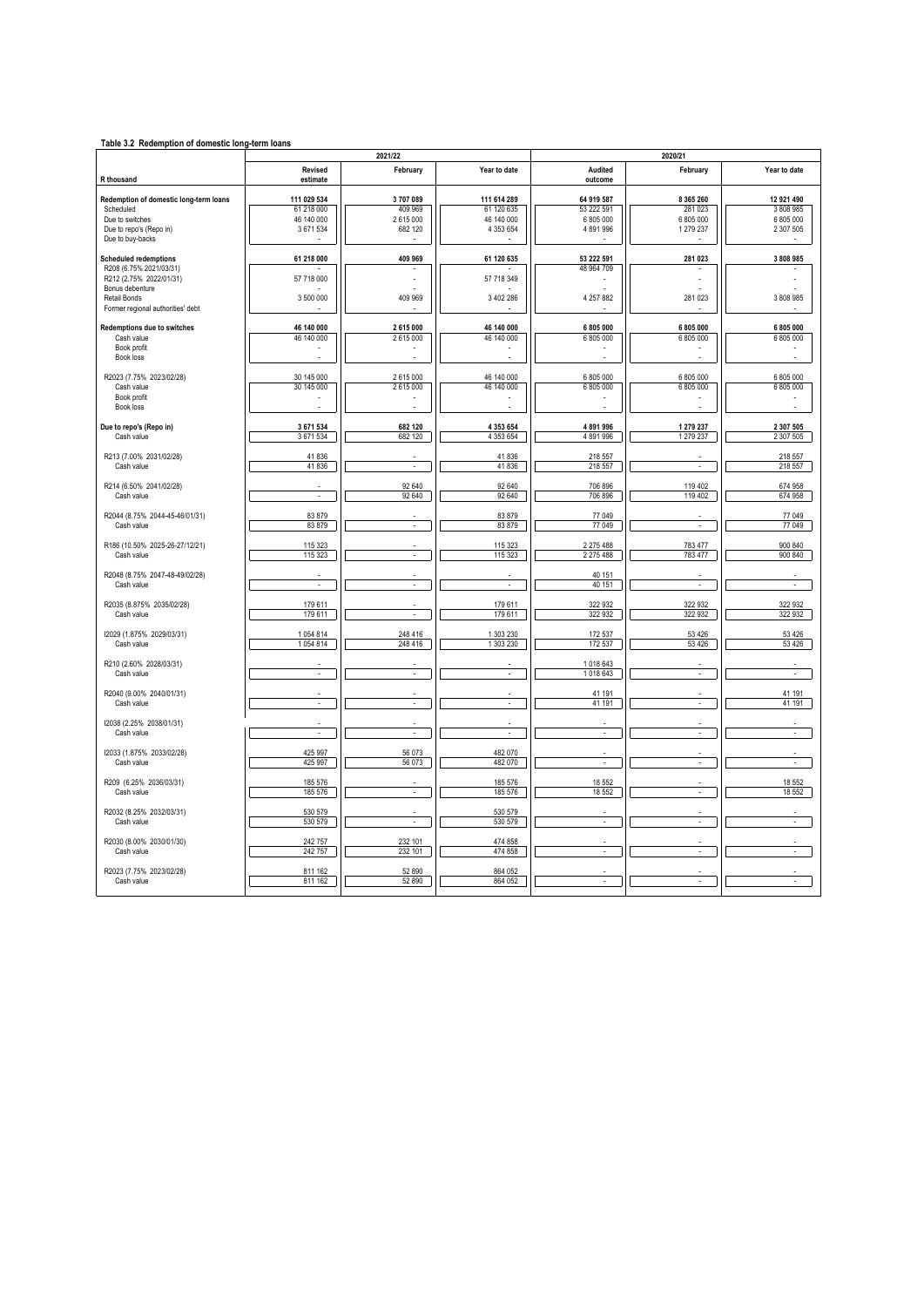| Table 3.2 Redemption of domestic long-term loans    |                            | 2021/22            |                        | 2020/21            |                    |                    |  |  |
|-----------------------------------------------------|----------------------------|--------------------|------------------------|--------------------|--------------------|--------------------|--|--|
| R thousand                                          | <b>Revised</b><br>estimate | February           | Year to date           | Audited<br>outcome | February           | Year to date       |  |  |
|                                                     | 111 029 534                | 3707089            | 111 614 289            | 64 919 587         | 8 3 6 5 2 6 0      | 12 921 490         |  |  |
| Redemption of domestic long-term loans<br>Scheduled | 61 218 000                 | 409 969            | 61 120 635             | 53 222 591         | 281 023            | 3 808 985          |  |  |
| Due to switches                                     | 46 140 000                 | 2615000            | 46 140 000             | 6 805 000          | 6 805 000          | 6 805 000          |  |  |
|                                                     | 3 671 534                  | 682 120            | 4 3 5 3 6 5 4          | 4891996            | 1279237            |                    |  |  |
| Due to repo's (Repo in)<br>Due to buy-backs         |                            |                    |                        |                    |                    | 2 307 505          |  |  |
| <b>Scheduled redemptions</b>                        | 61 218 000                 | 409 969            | 61 120 635             | 53 222 591         | 281 023            | 3 808 985          |  |  |
| R208 (6.75% 2021/03/31)                             |                            |                    |                        | 48 964 709         |                    |                    |  |  |
| R212 (2.75% 2022/01/31)                             | 57 718 000                 |                    | 57 718 349             |                    |                    |                    |  |  |
| Bonus debenture                                     |                            |                    |                        |                    |                    |                    |  |  |
| Retail Bonds                                        | 3 500 000                  | 409 969            | 3 402 286              | 4 257 882          | 281 023            | 3 808 985          |  |  |
| Former regional authorities' debt                   |                            |                    |                        |                    |                    |                    |  |  |
| Redemptions due to switches                         | 46 140 000                 | 2 615 000          | 46 140 000             | 6 805 000          | 6 805 000          | 6 805 000          |  |  |
| Cash value                                          | 46 140 000                 | 2615000            | 46 140 000             | 6 805 000          | 6 805 000          | 6 805 000          |  |  |
| Book profit                                         |                            |                    |                        |                    |                    |                    |  |  |
| Book loss                                           |                            |                    |                        |                    |                    |                    |  |  |
| R2023 (7.75% 2023/02/28)                            | 30 145 000                 | 2615000            | 46 140 000             | 6 805 000          | 6 805 000          | 6 805 000          |  |  |
| Cash value                                          | 30 145 000                 | 2615000            | 46 140 000             | 6 805 000          | 6 805 000          | 6 805 000          |  |  |
| Book profit                                         |                            | $\overline{a}$     |                        | $\overline{a}$     | L.                 |                    |  |  |
| Book loss                                           |                            |                    |                        |                    |                    |                    |  |  |
|                                                     | 3 671 534                  | 682 120            |                        | 4891996            | 1 279 237          | 2 307 505          |  |  |
| Due to repo's (Repo in)<br>Cash value               | 3 671 534                  | 682 120            | 4 353 654<br>4 353 654 | 4891996            | 1279237            | 2 307 505          |  |  |
|                                                     |                            |                    |                        |                    |                    |                    |  |  |
| R213 (7.00% 2031/02/28)                             | 41836                      |                    | 41836                  | 218 557            |                    | 218 557            |  |  |
| Cash value                                          | 41836                      | ä,                 | 41836                  | 218 557            | ÷,                 | 218 557            |  |  |
|                                                     |                            |                    |                        |                    |                    |                    |  |  |
| R214 (6.50% 2041/02/28)                             |                            | 92 640             | 92 640                 | 706 896            | 119 402            | 674 958            |  |  |
| Cash value                                          | l.                         | 92 640             | 92 640                 | 706 896            | 119 402            | 674 958            |  |  |
|                                                     |                            |                    |                        |                    |                    |                    |  |  |
| R2044 (8.75% 2044-45-46/01/31)                      | 83879                      |                    | 83 879                 | 77 049             |                    | 77 049             |  |  |
| Cash value                                          | 83879                      | $\mathbf{r}$       | 83 879                 | 77 049             | ÷,                 | 77 049             |  |  |
| R186 (10.50% 2025-26-27/12/21)                      | 115 323                    |                    | 115 323                | 2 275 488          | 783 477            | 900 840            |  |  |
| Cash value                                          | 115 323                    | $\sim$             | 115 323                | 2 2 7 5 4 8 8      | 783 477            | 900 840            |  |  |
|                                                     |                            |                    |                        |                    |                    |                    |  |  |
| R2048 (8.75% 2047-48-49/02/28)                      |                            |                    |                        | 40 151             |                    |                    |  |  |
| Cash value                                          | ÷,                         | L.                 | ÷,                     | 40 151             | ÷,                 | ¥,                 |  |  |
|                                                     |                            |                    |                        |                    |                    |                    |  |  |
| R2035 (8.875% 2035/02/28)                           | 179 611                    |                    | 179 611                | 322 932            | 322 932            | 322 932            |  |  |
| Cash value                                          | 179 611                    | ÷                  | 179 611                | 322 932            | 322 932            | 322 932            |  |  |
|                                                     |                            |                    |                        |                    |                    |                    |  |  |
| 12029 (1.875% 2029/03/31)<br>Cash value             | 1054814<br>1054814         | 248 416<br>248 416 | 1 303 230<br>1 303 230 | 172 537<br>172 537 | 53 4 26<br>53 4 26 | 53 4 26<br>53 4 26 |  |  |
|                                                     |                            |                    |                        |                    |                    |                    |  |  |
| R210 (2.60% 2028/03/31)                             |                            |                    |                        | 1018643            |                    |                    |  |  |
| Cash value                                          | $\mathbf{r}$               | $\mathbf{r}$       | $\sim$                 | 1018643            | $\mathbf{r}$       | $\sim$             |  |  |
|                                                     |                            |                    |                        |                    |                    |                    |  |  |
| R2040 (9.00% 2040/01/31)                            |                            |                    |                        | 41 191             |                    | 41 191             |  |  |
| Cash value                                          | $\mathbf{r}$               | $\Box$             | ÷.                     | 41 191             | ÷.                 | 41 191             |  |  |
|                                                     |                            |                    |                        |                    |                    |                    |  |  |
| I2038 (2.25% 2038/01/31)                            |                            |                    |                        |                    |                    |                    |  |  |
| Cash value                                          | ÷,                         | ä,                 |                        | ÷,                 |                    |                    |  |  |
| 12033 (1.875% 2033/02/28)                           | 425 997                    | 56 073             | 482 070                |                    |                    |                    |  |  |
| Cash value                                          | 425 997                    | 56 073             | 482 070                |                    |                    |                    |  |  |
|                                                     |                            |                    |                        |                    |                    |                    |  |  |
| R209 (6.25% 2036/03/31)                             | 185 576                    |                    | 185 576                | 18 552             |                    | 18 552             |  |  |
| Cash value                                          | 185 576                    | ÷.                 | 185 576                | 18 552             | ÷.                 | 18 5 52            |  |  |
|                                                     |                            |                    |                        |                    |                    |                    |  |  |
| R2032 (8.25% 2032/03/31)                            | 530 579                    |                    | 530 579                |                    |                    |                    |  |  |
| Cash value                                          | 530 579                    | ÷.                 | 530 579                | $\mathbf{r}$       | ÷.                 | $\mathbf{r}$       |  |  |
|                                                     |                            |                    |                        |                    |                    |                    |  |  |
| R2030 (8.00% 2030/01/30)                            | 242 757                    | 232 101            | 474 858                |                    |                    |                    |  |  |
| Cash value                                          | 242 757                    | 232 101            | 474 858                | $\mathbf{r}$       | ÷.                 | $\mathbf{r}$       |  |  |
| R2023 (7.75% 2023/02/28)                            | 811 162                    | 52 890             | 864 052                |                    |                    |                    |  |  |
| Cash value                                          | 811 162                    | 52 890             | 864 052                |                    |                    |                    |  |  |
|                                                     |                            |                    |                        |                    |                    |                    |  |  |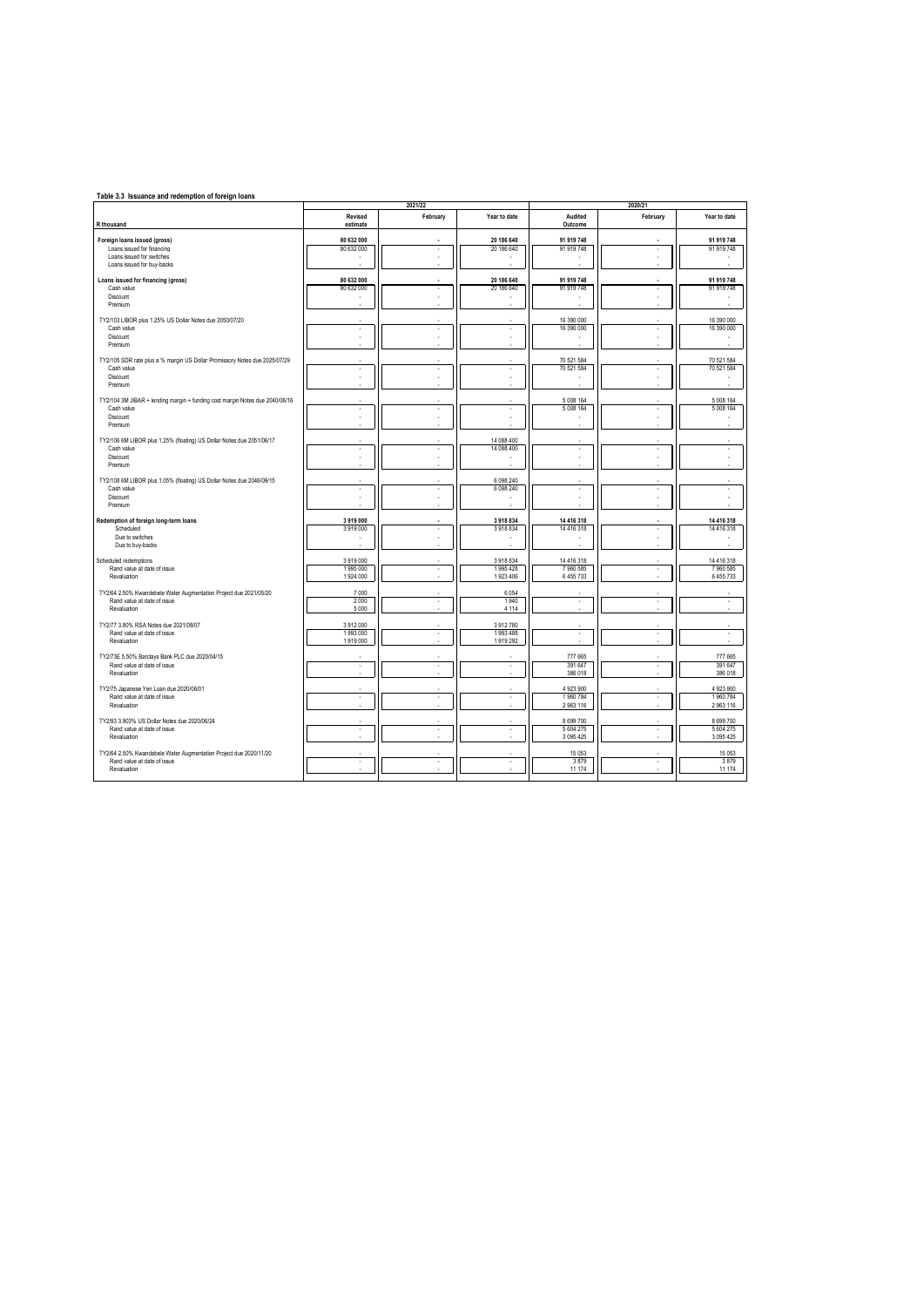| Table 3.3 Issuance and redemption of foreign loans                           |                          | 2021/22                  |                     |                      | 2020/21  |                        |
|------------------------------------------------------------------------------|--------------------------|--------------------------|---------------------|----------------------|----------|------------------------|
| R thousand                                                                   | Revised<br>estimate      | February                 | Year to date        | Audited<br>Outcome   | February | Year to date           |
| Foreign loans issued (gross)                                                 | 80 632 000               |                          | 20 186 640          | 91 919 748           |          | 91 919 748             |
| Loans issued for financing                                                   | 80 632 000               | ٠                        | 20 186 640          | 91 919 748           | ٠        | 91 919 748             |
| Loans issued for switches                                                    | ÷.                       | ÷                        | ÷                   |                      |          |                        |
| Loans issued for buy-backs                                                   |                          |                          |                     |                      |          |                        |
| Loans issued for financing (gross)                                           | 80 632 000               |                          | 20 186 640          | 91 919 748           |          | 91 919 748             |
| Cash value                                                                   | 80 632 000               | ä,                       | 20 186 640          | 91 919 748           |          | 91 919 748             |
| Discount                                                                     |                          |                          |                     |                      |          |                        |
| Premium                                                                      |                          |                          |                     |                      |          |                        |
| TY2/103 LIBOR plus 1.25% US Dollar Notes due 2050/07/20                      |                          |                          |                     | 16 390 000           |          | 16 390 000             |
| Cash value                                                                   | $\overline{\phantom{a}}$ | ٠                        | ٠                   | 16 390 000           |          | 16 390 000             |
| Discount                                                                     |                          |                          | ÷                   |                      |          |                        |
| Premium                                                                      |                          |                          |                     |                      |          |                        |
|                                                                              |                          |                          |                     |                      |          |                        |
| TY2/105 SDR rate plus a % margin US Dollar Promissory Notes due 2025/07/29   |                          |                          |                     | 70 521 584           |          | 70 521 584             |
| Cash value<br>Discount                                                       |                          | i,                       | i,                  | 70 521 584           |          | 70 521 584             |
| Premium                                                                      |                          |                          |                     |                      |          |                        |
|                                                                              |                          |                          |                     |                      |          |                        |
| TY2/104 3M JIBAR + lending margin + funding cost margin Notes due 2040/06/16 |                          |                          |                     | 5 008 164            |          | 5 008 164              |
| Cash value                                                                   | $\overline{\phantom{a}}$ | ä,                       | ٠                   | 5 008 164            | ÷.       | 5 008 164              |
| Discount<br>Premium                                                          |                          | ٠                        | ٠                   |                      |          |                        |
|                                                                              |                          |                          |                     |                      |          |                        |
| TY2/106 6M LIBOR plus 1.25% (floating) US Dollar Notes due 2051/06/17        |                          |                          | 14 088 400          |                      |          |                        |
| Cash value                                                                   | $\overline{\phantom{a}}$ | ٠                        | 14 088 400          | ÷.                   | ÷.       | ÷.                     |
| Discount                                                                     |                          |                          |                     |                      |          |                        |
| Premium                                                                      |                          |                          |                     |                      |          |                        |
| TY2/108 6M LIBOR plus 1.05% (floating) US Dollar Notes due 2046/09/15        |                          |                          | 6 098 240           |                      |          |                        |
| Cash value                                                                   | $\overline{\phantom{a}}$ | J.                       | 6 0 9 8 2 4 0       | ×.                   | ÷.       |                        |
| Discount                                                                     |                          | ٠                        |                     |                      |          |                        |
| Premium                                                                      |                          |                          |                     |                      |          |                        |
|                                                                              | 3 919 000                |                          | 3918834             | 14 416 318           |          | 14 416 318             |
| Redemption of foreign long-term loans<br>Scheduled                           | 3919000                  | $\overline{\phantom{a}}$ | 3918834             | 14 416 318           | ÷.       | 14 416 318             |
| Due to switches                                                              | ٠                        | J.                       | J.                  |                      |          |                        |
| Due to buy-backs                                                             |                          |                          |                     |                      |          |                        |
|                                                                              |                          |                          |                     |                      |          |                        |
| Scheduled redemptions                                                        | 3919000                  |                          | 3918834             | 14 416 318           |          | 14 416 318             |
| Rand value at date of issue<br>Revaluation                                   | 1995 000<br>1 924 000    | ٠                        | 1995428<br>1923 406 | 7960585<br>6 455 733 |          | 7 960 585<br>6 455 733 |
|                                                                              |                          |                          |                     |                      |          |                        |
| TY2/64 2.50% Kwandebele Water Augmentation Project due 2021/05/20            | 7 000                    |                          | 6 0 5 4             |                      |          |                        |
| Rand value at date of issue                                                  | 2 0 0 0                  | $\overline{\phantom{a}}$ | 1 940               | ×.                   | ÷.       | ä,                     |
| Revaluation                                                                  | 5 0 0 0                  |                          | 4 1 1 4             |                      |          |                        |
| TY2/77 3.80% RSA Notes due 2021/09/07                                        | 3912000                  |                          | 3912780             |                      |          |                        |
| Rand value at date of issue                                                  | 1993 000                 | ٠                        | 1993 488            | ٠                    | ٠        | ٠                      |
| Revaluation                                                                  | 1919 000                 |                          | 1919 292            |                      |          |                        |
|                                                                              |                          |                          |                     |                      |          |                        |
| TY2/73E 5.50% Barclays Bank PLC due 2020/04/15                               |                          |                          |                     | 777 665              |          | 777 665                |
| Rand value at date of issue<br>Revaluation                                   | ٠                        | $\cdot$                  | $\cdot$             | 391 647<br>386 018   | ٠        | 391 647<br>386 018     |
|                                                                              |                          |                          |                     |                      |          |                        |
| TY2/75 Japanese Yen Loan due 2020/06/01                                      |                          |                          |                     | 4 923 900            |          | 4 923 900              |
| Rand value at date of issue                                                  | ÷.                       | ٠                        | $\sim$              | 1960784              | $\sim$   | 1960784                |
| Revaluation                                                                  |                          |                          |                     | 2 9 63 116           |          | 2 963 116              |
| TY2/93 3.903% US Dollar Notes due 2020/06/24                                 |                          |                          |                     | 8 699 700            |          | 8 699 700              |
| Rand value at date of issue                                                  |                          | ä,                       | ٠                   | 5 604 275            |          | 5 604 275              |
| Revaluation                                                                  |                          |                          |                     | 3 0 9 5 4 2 5        |          | 3 095 425              |
|                                                                              |                          |                          |                     |                      |          |                        |
| TY2/64 2.50% Kwandebele Water Augmentation Project due 2020/11/20            |                          |                          |                     | 15 053               |          | 15 0 53                |
| Rand value at date of issue<br>Revaluation                                   | ÷.                       | i,                       | i,                  | 3879<br>11 174       | ×,       | 3879<br>11 174         |
|                                                                              |                          |                          |                     |                      |          |                        |